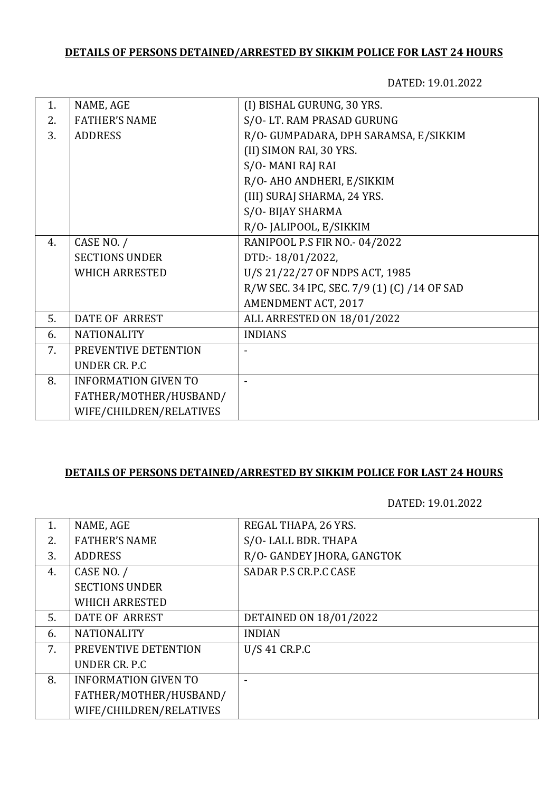DATED: 19.01.2022

| 1. | NAME, AGE                   | (I) BISHAL GURUNG, 30 YRS.                   |
|----|-----------------------------|----------------------------------------------|
| 2. | <b>FATHER'S NAME</b>        | S/O-LT. RAM PRASAD GURUNG                    |
| 3. | <b>ADDRESS</b>              | R/O- GUMPADARA, DPH SARAMSA, E/SIKKIM        |
|    |                             | (II) SIMON RAI, 30 YRS.                      |
|    |                             | S/O-MANI RAJ RAI                             |
|    |                             | R/O- AHO ANDHERI, E/SIKKIM                   |
|    |                             | (III) SURAJ SHARMA, 24 YRS.                  |
|    |                             | S/O-BIJAY SHARMA                             |
|    |                             | R/O- JALIPOOL, E/SIKKIM                      |
| 4. | CASE NO. /                  | RANIPOOL P.S FIR NO.- 04/2022                |
|    | <b>SECTIONS UNDER</b>       | DTD:-18/01/2022,                             |
|    | <b>WHICH ARRESTED</b>       | U/S 21/22/27 OF NDPS ACT, 1985               |
|    |                             | R/W SEC. 34 IPC, SEC. 7/9 (1) (C) /14 OF SAD |
|    |                             | AMENDMENT ACT, 2017                          |
| 5. | <b>DATE OF ARREST</b>       | ALL ARRESTED ON 18/01/2022                   |
| 6. | <b>NATIONALITY</b>          | <b>INDIANS</b>                               |
| 7. | PREVENTIVE DETENTION        |                                              |
|    | UNDER CR. P.C               |                                              |
| 8. | <b>INFORMATION GIVEN TO</b> |                                              |
|    | FATHER/MOTHER/HUSBAND/      |                                              |
|    | WIFE/CHILDREN/RELATIVES     |                                              |

## **DETAILS OF PERSONS DETAINED/ARRESTED BY SIKKIM POLICE FOR LAST 24 HOURS**

| 1. | NAME, AGE                   | REGAL THAPA, 26 YRS.       |
|----|-----------------------------|----------------------------|
| 2. | <b>FATHER'S NAME</b>        | S/O-LALL BDR. THAPA        |
| 3. | <b>ADDRESS</b>              | R/O- GANDEY JHORA, GANGTOK |
| 4. | CASE NO. /                  | SADAR P.S CR.P.C CASE      |
|    | <b>SECTIONS UNDER</b>       |                            |
|    | <b>WHICH ARRESTED</b>       |                            |
| 5. | DATE OF ARREST              | DETAINED ON 18/01/2022     |
| 6. | <b>NATIONALITY</b>          | <b>INDIAN</b>              |
| 7. | PREVENTIVE DETENTION        | $U/S$ 41 CR.P.C            |
|    | UNDER CR. P.C.              |                            |
| 8. | <b>INFORMATION GIVEN TO</b> |                            |
|    | FATHER/MOTHER/HUSBAND/      |                            |
|    | WIFE/CHILDREN/RELATIVES     |                            |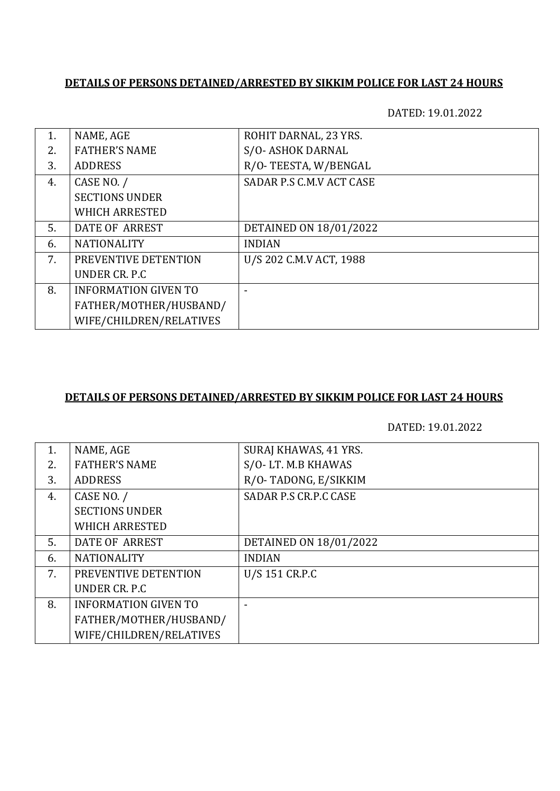DATED: 19.01.2022

| 1. | NAME, AGE                   | ROHIT DARNAL, 23 YRS.    |
|----|-----------------------------|--------------------------|
| 2. | <b>FATHER'S NAME</b>        | S/O-ASHOK DARNAL         |
| 3. | <b>ADDRESS</b>              | R/O-TEESTA, W/BENGAL     |
| 4. | CASE NO. /                  | SADAR P.S C.M.V ACT CASE |
|    | <b>SECTIONS UNDER</b>       |                          |
|    | <b>WHICH ARRESTED</b>       |                          |
| 5. | DATE OF ARREST              | DETAINED ON 18/01/2022   |
| 6. | <b>NATIONALITY</b>          | <b>INDIAN</b>            |
| 7. | PREVENTIVE DETENTION        | U/S 202 C.M.V ACT, 1988  |
|    | UNDER CR. P.C               |                          |
| 8. | <b>INFORMATION GIVEN TO</b> |                          |
|    | FATHER/MOTHER/HUSBAND/      |                          |
|    | WIFE/CHILDREN/RELATIVES     |                          |

#### **DETAILS OF PERSONS DETAINED/ARRESTED BY SIKKIM POLICE FOR LAST 24 HOURS**

| 1. | NAME, AGE                   | SURAJ KHAWAS, 41 YRS.  |
|----|-----------------------------|------------------------|
| 2. | <b>FATHER'S NAME</b>        | S/O-LT. M.B KHAWAS     |
| 3. | <b>ADDRESS</b>              | R/O-TADONG, E/SIKKIM   |
| 4. | CASE NO. /                  | SADAR P.S CR.P.C CASE  |
|    | <b>SECTIONS UNDER</b>       |                        |
|    | <b>WHICH ARRESTED</b>       |                        |
| 5. | DATE OF ARREST              | DETAINED ON 18/01/2022 |
| 6. | <b>NATIONALITY</b>          | <b>INDIAN</b>          |
| 7. | PREVENTIVE DETENTION        | U/S 151 CR.P.C         |
|    | UNDER CR. P.C.              |                        |
| 8. | <b>INFORMATION GIVEN TO</b> |                        |
|    | FATHER/MOTHER/HUSBAND/      |                        |
|    | WIFE/CHILDREN/RELATIVES     |                        |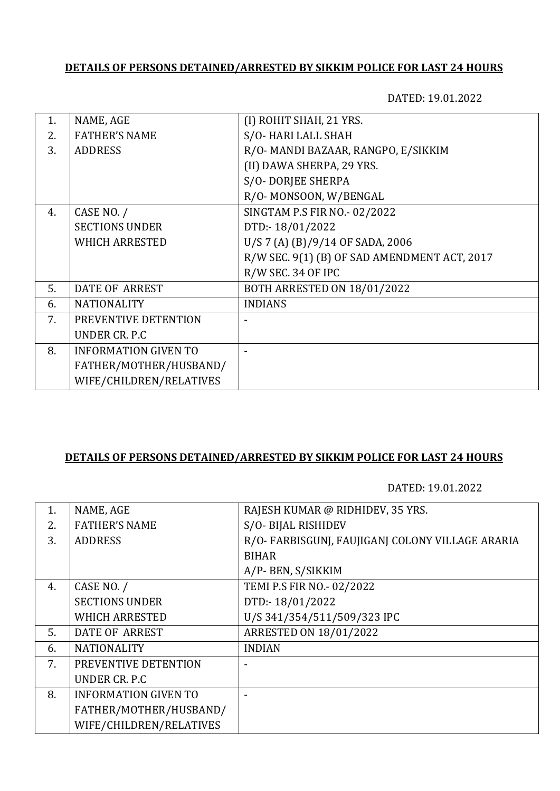DATED: 19.01.2022

| 1. | NAME, AGE                   | (I) ROHIT SHAH, 21 YRS.                      |
|----|-----------------------------|----------------------------------------------|
| 2. | <b>FATHER'S NAME</b>        | S/O-HARI LALL SHAH                           |
| 3. | <b>ADDRESS</b>              | R/O- MANDI BAZAAR, RANGPO, E/SIKKIM          |
|    |                             | (II) DAWA SHERPA, 29 YRS.                    |
|    |                             | S/O-DORJEE SHERPA                            |
|    |                             | R/O-MONSOON, W/BENGAL                        |
| 4. | CASE NO. /                  | SINGTAM P.S FIR NO.- 02/2022                 |
|    | <b>SECTIONS UNDER</b>       | DTD:-18/01/2022                              |
|    | <b>WHICH ARRESTED</b>       | U/S 7 (A) (B)/9/14 OF SADA, 2006             |
|    |                             | R/W SEC. 9(1) (B) OF SAD AMENDMENT ACT, 2017 |
|    |                             | R/W SEC. 34 OF IPC                           |
| 5. | <b>DATE OF ARREST</b>       | BOTH ARRESTED ON 18/01/2022                  |
| 6. | <b>NATIONALITY</b>          | <b>INDIANS</b>                               |
| 7. | PREVENTIVE DETENTION        |                                              |
|    | <b>UNDER CR. P.C</b>        |                                              |
| 8. | <b>INFORMATION GIVEN TO</b> |                                              |
|    | FATHER/MOTHER/HUSBAND/      |                                              |
|    | WIFE/CHILDREN/RELATIVES     |                                              |
|    |                             |                                              |

### **DETAILS OF PERSONS DETAINED/ARRESTED BY SIKKIM POLICE FOR LAST 24 HOURS**

| 1. | NAME, AGE                   | RAJESH KUMAR @ RIDHIDEV, 35 YRS.                |
|----|-----------------------------|-------------------------------------------------|
| 2. | <b>FATHER'S NAME</b>        | S/O-BIJAL RISHIDEV                              |
| 3. | <b>ADDRESS</b>              | R/O-FARBISGUNJ, FAUJIGANJ COLONY VILLAGE ARARIA |
|    |                             | <b>BIHAR</b>                                    |
|    |                             | A/P- BEN, S/SIKKIM                              |
| 4. | CASE NO. /                  | TEMI P.S FIR NO.- 02/2022                       |
|    | <b>SECTIONS UNDER</b>       | DTD:-18/01/2022                                 |
|    | <b>WHICH ARRESTED</b>       | U/S 341/354/511/509/323 IPC                     |
| 5. | DATE OF ARREST              | <b>ARRESTED ON 18/01/2022</b>                   |
| 6. | <b>NATIONALITY</b>          | <b>INDIAN</b>                                   |
| 7. | PREVENTIVE DETENTION        |                                                 |
|    | UNDER CR. P.C.              |                                                 |
| 8. | <b>INFORMATION GIVEN TO</b> |                                                 |
|    | FATHER/MOTHER/HUSBAND/      |                                                 |
|    | WIFE/CHILDREN/RELATIVES     |                                                 |